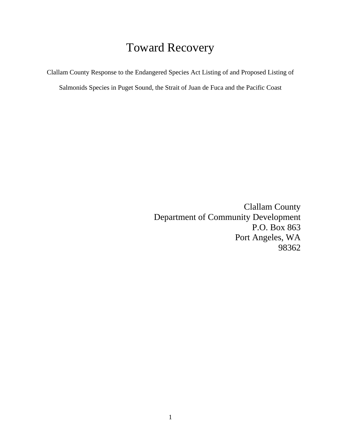## Toward Recovery

Clallam County Response to the Endangered Species Act Listing of and Proposed Listing of

Salmonids Species in Puget Sound, the Strait of Juan de Fuca and the Pacific Coast

Clallam County Department of Community Development P.O. Box 863 Port Angeles, WA 98362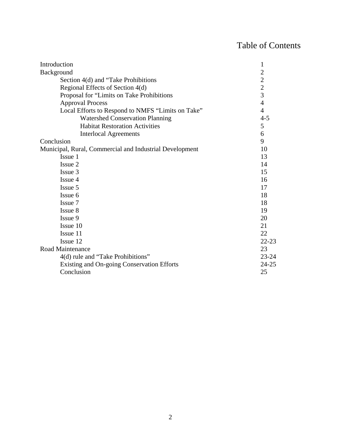## Table of Contents

| Introduction                                            | 1                                          |
|---------------------------------------------------------|--------------------------------------------|
| Background                                              | $\overline{c}$                             |
| Section 4(d) and "Take Prohibitions                     | $\begin{array}{c} 2 \\ 2 \\ 3 \end{array}$ |
| Regional Effects of Section 4(d)                        |                                            |
| Proposal for "Limits on Take Prohibitions               |                                            |
| <b>Approval Process</b>                                 | $\overline{4}$                             |
| Local Efforts to Respond to NMFS "Limits on Take"       | $\overline{4}$                             |
| <b>Watershed Conservation Planning</b>                  | $4 - 5$                                    |
| <b>Habitat Restoration Activities</b>                   | 5                                          |
| <b>Interlocal Agreements</b>                            | 6                                          |
| Conclusion                                              | 9                                          |
| Municipal, Rural, Commercial and Industrial Development | 10                                         |
| Issue 1                                                 | 13                                         |
| Issue 2                                                 | 14                                         |
| Issue 3                                                 | 15                                         |
| Issue 4                                                 | 16                                         |
| Issue 5                                                 | 17                                         |
| Issue 6                                                 | 18                                         |
| Issue 7                                                 | 18                                         |
| Issue 8                                                 | 19                                         |
| Issue 9                                                 | 20                                         |
| Issue 10                                                | 21                                         |
| Issue 11                                                | 22                                         |
| Issue 12                                                | $22 - 23$                                  |
| Road Maintenance                                        | 23                                         |
| 4(d) rule and "Take Prohibitions"                       | $23 - 24$                                  |
| Existing and On-going Conservation Efforts              | $24 - 25$                                  |
| Conclusion                                              | 25                                         |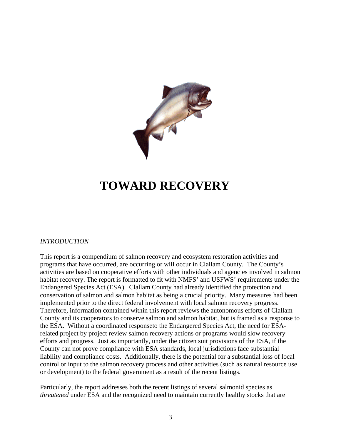

## **TOWARD RECOVERY**

#### *INTRODUCTION*

This report is a compendium of salmon recovery and ecosystem restoration activities and programs that have occurred, are occurring or will occur in Clallam County. The County's activities are based on cooperative efforts with other individuals and agencies involved in salmon habitat recovery. The report is formatted to fit with NMFS' and USFWS' requirements under the Endangered Species Act (ESA). Clallam County had already identified the protection and conservation of salmon and salmon habitat as being a crucial priority. Many measures had been implemented prior to the direct federal involvement with local salmon recovery progress. Therefore, information contained within this report reviews the autonomous efforts of Clallam County and its cooperators to conserve salmon and salmon habitat, but is framed as a response to the ESA. Without a coordinated responseto the Endangered Species Act, the need for ESArelated project by project review salmon recovery actions or programs would slow recovery efforts and progress. Just as importantly, under the citizen suit provisions of the ESA, if the County can not prove compliance with ESA standards, local jurisdictions face substantial liability and compliance costs. Additionally, there is the potential for a substantial loss of local control or input to the salmon recovery process and other activities (such as natural resource use or development) to the federal government as a result of the recent listings.

Particularly, the report addresses both the recent listings of several salmonid species as *threatened* under ESA and the recognized need to maintain currently healthy stocks that are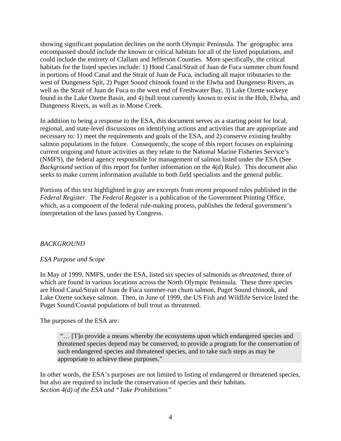showing significant population declines on the north Olympic Peninsula. The geographic area encompassed should include the known or critical habitats for all of the listed populations, and could include the entirety of Clallam and Jefferson Counties. More specifically, the critical habitats for the listed species include: 1) Hood Canal/Strait of Juan de Fuca summer chum found in portions of Hood Canal and the Strait of Juan de Fuca, including all major tributaries to the west of Dungeness Spit, 2) Puget Sound chinook found in the Elwha and Dungeness Rivers, as well as the Strait of Juan de Fuca to the west end of Freshwater Bay, 3) Lake Ozette sockeye found in the Lake Ozette Basin, and 4) bull trout currently known to exist in the Hoh, Elwha, and Dungeness Rivers, as well as in Morse Creek.

In addition to being a response to the ESA, this document serves as a starting point for local, regional, and state-level discussions on identifying actions and activities that are appropriate and necessary to: 1) meet the requirements and goals of the ESA, and 2) conserve existing healthy salmon populations in the future. Consequently, the scope of this report focuses on explaining current ongoing and future activities as they relate to the National Marine Fisheries Service's (NMFS), the federal agency responsible for management of salmon listed under the ESA (See *Background* section of this report for further information on the 4(d) Rule). This document also seeks to make current information available to both field specialists and the general public.

Portions of this text highlighted in gray are excerpts from recent proposed rules published in the *Federal Register*. The *Federal Register* is a publication of the Government Printing Office, which, as a component of the federal rule-making process, publishes the federal government's interpretation of the laws passed by Congress.

## *BACKGROUND*

## *ESA Purpose and Scope*

In May of 1999, NMFS, under the ESA, listed six species of salmonids as *threatened,* three of which are found in various locations across the North Olympic Peninsula. These three species are Hood Canal/Strait of Juan de Fuca summer-run chum salmon, Puget Sound chinook, and Lake Ozette sockeye salmon. Then, in June of 1999, the US Fish and Wildlife Service listed the Puget Sound/Coastal populations of bull trout as threatened.

The purposes of the ESA are:

"… [T]o provide a means whereby the ecosystems upon which endangered species and threatened species depend may be conserved, to provide a program for the conservation of such endangered species and threatened species, and to take such steps as may be appropriate to achieve these purposes."

In other words, the ESA's purposes are not limited to listing of endangered or threatened species, but also are required to include the conservation of species and their habitats. *Section 4(d) of the ESA and "Take Prohibitions"*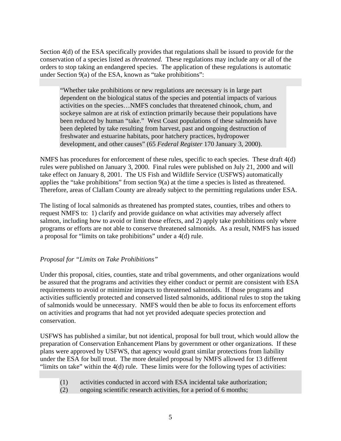Section 4(d) of the ESA specifically provides that regulations shall be issued to provide for the conservation of a species listed as *threatened.* These regulations may include any or all of the orders to stop taking an endangered species. The application of these regulations is automatic under Section 9(a) of the ESA, known as "take prohibitions":

"Whether take prohibitions or new regulations are necessary is in large part dependent on the biological status of the species and potential impacts of various activities on the species…NMFS concludes that threatened chinook, chum, and sockeye salmon are at risk of extinction primarily because their populations have been reduced by human "take." West Coast populations of these salmonids have been depleted by take resulting from harvest, past and ongoing destruction of freshwater and estuarine habitats, poor hatchery practices, hydropower development, and other causes" (65 *Federal Register* 170 January 3, 2000).

NMFS has procedures for enforcement of these rules, specific to each species. These draft 4(d) rules were published on January 3, 2000. Final rules were published on July 21, 2000 and will take effect on January 8, 2001. The US Fish and Wildlife Service (USFWS) automatically applies the "take prohibitions" from section 9(a) at the time a species is listed as threatened. Therefore, areas of Clallam County are already subject to the permitting regulations under ESA.

The listing of local salmonids as threatened has prompted states, counties, tribes and others to request NMFS to: 1) clarify and provide guidance on what activities may adversely affect salmon, including how to avoid or limit those effects, and 2) apply take prohibitions only where programs or efforts are not able to conserve threatened salmonids. As a result, NMFS has issued a proposal for "limits on take prohibitions" under a 4(d) rule.

## *Proposal for "Limits on Take Prohibitions"*

Under this proposal, cities, counties, state and tribal governments, and other organizations would be assured that the programs and activities they either conduct or permit are consistent with ESA requirements to avoid or minimize impacts to threatened salmonids. If those programs and activities sufficiently protected and conserved listed salmonids, additional rules to stop the taking of salmonids would be unnecessary. NMFS would then be able to focus its enforcement efforts on activities and programs that had not yet provided adequate species protection and conservation.

USFWS has published a similar, but not identical, proposal for bull trout, which would allow the preparation of Conservation Enhancement Plans by government or other organizations. If these plans were approved by USFWS, that agency would grant similar protections from liability under the ESA for bull trout. The more detailed proposal by NMFS allowed for 13 different "limits on take" within the 4(d) rule. These limits were for the following types of activities:

- (1) activities conducted in accord with ESA incidental take authorization;
- (2) ongoing scientific research activities, for a period of 6 months;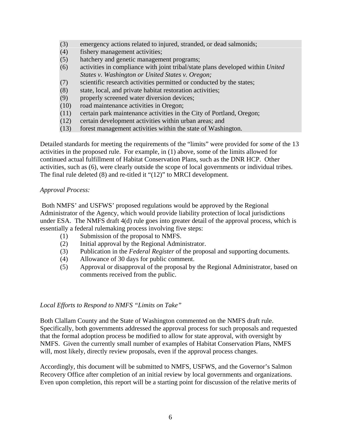- (3) emergency actions related to injured, stranded, or dead salmonids;
- (4) fishery management activities;
- (5) hatchery and genetic management programs;
- (6) activities in compliance with joint tribal/state plans developed within *United States v. Washington or United States v. Oregon;*
- (7) scientific research activities permitted or conducted by the states;
- (8) state, local, and private habitat restoration activities;
- (9) properly screened water diversion devices;
- (10) road maintenance activities in Oregon;
- (11) certain park maintenance activities in the City of Portland, Oregon;
- (12) certain development activities within urban areas; and
- (13) forest management activities within the state of Washington.

Detailed standards for meeting the requirements of the "limits" were provided for *some* of the 13 activities in the proposed rule. For example, in (1) above, some of the limits allowed for continued actual fulfillment of Habitat Conservation Plans, such as the DNR HCP. Other activities, such as (6), were clearly outside the scope of local governments or individual tribes. The final rule deleted (8) and re-titled it "(12)" to MRCI development.

#### *Approval Process:*

 Both NMFS' and USFWS' proposed regulations would be approved by the Regional Administrator of the Agency, which would provide liability protection of local jurisdictions under ESA. The NMFS draft 4(d) rule goes into greater detail of the approval process, which is essentially a federal rulemaking process involving five steps:

- (1) Submission of the proposal to NMFS.
- (2) Initial approval by the Regional Administrator.
- (3) Publication in the *Federal Register* of the proposal and supporting documents.
- (4) Allowance of 30 days for public comment.
- (5) Approval or disapproval of the proposal by the Regional Administrator, based on comments received from the public.

#### *Local Efforts to Respond to NMFS "Limits on Take"*

Both Clallam County and the State of Washington commented on the NMFS draft rule. Specifically, both governments addressed the approval process for such proposals and requested that the formal adoption process be modified to allow for state approval, with oversight by NMFS. Given the currently small number of examples of Habitat Conservation Plans, NMFS will, most likely, directly review proposals, even if the approval process changes.

Accordingly, this document will be submitted to NMFS, USFWS, and the Governor's Salmon Recovery Office after completion of an initial review by local governments and organizations. Even upon completion, this report will be a starting point for discussion of the relative merits of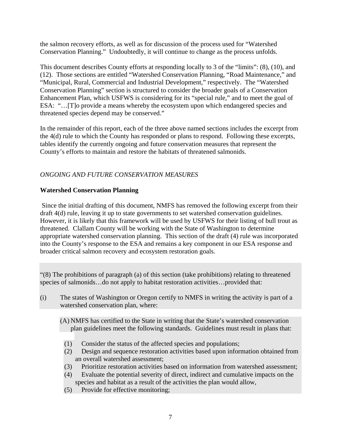the salmon recovery efforts, as well as for discussion of the process used for "Watershed Conservation Planning." Undoubtedly, it will continue to change as the process unfolds.

This document describes County efforts at responding locally to 3 of the "limits": (8), (10), and (12). Those sections are entitled "Watershed Conservation Planning, "Road Maintenance," and "Municipal, Rural, Commercial and Industrial Development," respectively. The "Watershed Conservation Planning" section is structured to consider the broader goals of a Conservation Enhancement Plan, which USFWS is considering for its "special rule," and to meet the goal of ESA: "…[T]o provide a means whereby the ecosystem upon which endangered species and threatened species depend may be conserved."

In the remainder of this report, each of the three above named sections includes the excerpt from the 4(d) rule to which the County has responded or plans to respond. Following these excerpts, tables identify the currently ongoing and future conservation measures that represent the County's efforts to maintain and restore the habitats of threatened salmonids.

## *ONGOING AND FUTURE CONSERVATION MEASURES*

## **Watershed Conservation Planning**

 Since the initial drafting of this document, NMFS has removed the following excerpt from their draft 4(d) rule, leaving it up to state governments to set watershed conservation guidelines. However, it is likely that this framework will be used by USFWS for their listing of bull trout as threatened. Clallam County will be working with the State of Washington to determine appropriate watershed conservation planning. This section of the draft (4) rule was incorporated into the County's response to the ESA and remains a key component in our ESA response and broader critical salmon recovery and ecosystem restoration goals.

"(8) The prohibitions of paragraph (a) of this section (take prohibitions) relating to threatened species of salmonids…do not apply to habitat restoration activities…provided that:

(i) The states of Washington or Oregon certify to NMFS in writing the activity is part of a watershed conservation plan, where:

(A) NMFS has certified to the State in writing that the State's watershed conservation plan guidelines meet the following standards. Guidelines must result in plans that:

- (1) Consider the status of the affected species and populations;
- (2) Design and sequence restoration activities based upon information obtained from an overall watershed assessment;
- (3) Prioritize restoration activities based on information from watershed assessment;
- (4) Evaluate the potential severity of direct, indirect and cumulative impacts on the species and habitat as a result of the activities the plan would allow,
- (5) Provide for effective monitoring;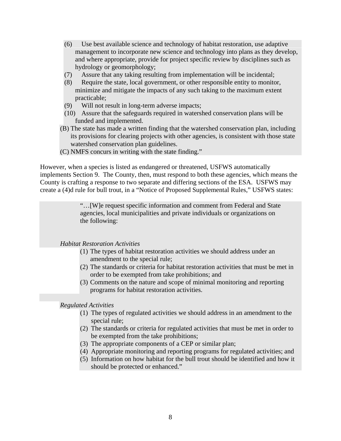- (6) Use best available science and technology of habitat restoration, use adaptive management to incorporate new science and technology into plans as they develop, and where appropriate, provide for project specific review by disciplines such as hydrology or geomorphology;
- (7) Assure that any taking resulting from implementation will be incidental;
- (8) Require the state, local government, or other responsible entity to monitor, minimize and mitigate the impacts of any such taking to the maximum extent practicable;
- (9) Will not result in long-term adverse impacts;
- (10) Assure that the safeguards required in watershed conservation plans will be funded and implemented.
- (B) The state has made a written finding that the watershed conservation plan, including its provisions for clearing projects with other agencies, is consistent with those state watershed conservation plan guidelines.
- (C) NMFS concurs in writing with the state finding."

However, when a species is listed as endangered or threatened, USFWS automatically implements Section 9. The County, then, must respond to both these agencies, which means the County is crafting a response to two separate and differing sections of the ESA. USFWS may create a (4)d rule for bull trout, in a "Notice of Proposed Supplemental Rules," USFWS states:

> "…[W]e request specific information and comment from Federal and State agencies, local municipalities and private individuals or organizations on the following:

*Habitat Restoration Activities* 

- (1) The types of habitat restoration activities we should address under an amendment to the special rule;
- (2) The standards or criteria for habitat restoration activities that must be met in order to be exempted from take prohibitions; and
- (3) Comments on the nature and scope of minimal monitoring and reporting programs for habitat restoration activities.

*Regulated Activities* 

- (1) The types of regulated activities we should address in an amendment to the special rule;
- (2) The standards or criteria for regulated activities that must be met in order to be exempted from the take prohibitions;
- (3) The appropriate components of a CEP or similar plan;
- (4) Appropriate monitoring and reporting programs for regulated activities; and
- (5) Information on how habitat for the bull trout should be identified and how it should be protected or enhanced."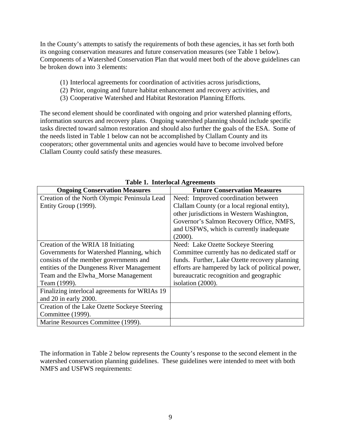In the County's attempts to satisfy the requirements of both these agencies, it has set forth both its ongoing conservation measures and future conservation measures (see Table 1 below). Components of a Watershed Conservation Plan that would meet both of the above guidelines can be broken down into 3 elements:

- (1) Interlocal agreements for coordination of activities across jurisdictions,
- (2) Prior, ongoing and future habitat enhancement and recovery activities, and
- (3) Cooperative Watershed and Habitat Restoration Planning Efforts.

The second element should be coordinated with ongoing and prior watershed planning efforts, information sources and recovery plans. Ongoing watershed planning should include specific tasks directed toward salmon restoration and should also further the goals of the ESA. Some of the needs listed in Table 1 below can not be accomplished by Clallam County and its cooperators; other governmental units and agencies would have to become involved before Clallam County could satisfy these measures.

| Table 1. Thieriocal Agreements                |                                                  |  |
|-----------------------------------------------|--------------------------------------------------|--|
| <b>Ongoing Conservation Measures</b>          | <b>Future Conservation Measures</b>              |  |
| Creation of the North Olympic Peninsula Lead  | Need: Improved coordination between              |  |
| Entity Group (1999).                          | Clallam County (or a local regional entity),     |  |
|                                               | other jurisdictions in Western Washington,       |  |
|                                               | Governor's Salmon Recovery Office, NMFS,         |  |
|                                               | and USFWS, which is currently inadequate         |  |
|                                               | (2000).                                          |  |
| Creation of the WRIA 18 Initiating            | Need: Lake Ozette Sockeye Steering               |  |
| Governments for Watershed Planning, which     | Committee currently has no dedicated staff or    |  |
| consists of the member governments and        | funds. Further, Lake Ozette recovery planning    |  |
| entities of the Dungeness River Management    | efforts are hampered by lack of political power, |  |
| Team and the Elwha_Morse Management           | bureaucratic recognition and geographic          |  |
| Team (1999).                                  | isolation (2000).                                |  |
| Finalizing interlocal agreements for WRIAs 19 |                                                  |  |
| and 20 in early 2000.                         |                                                  |  |
| Creation of the Lake Ozette Sockeye Steering  |                                                  |  |
| Committee (1999).                             |                                                  |  |
| Marine Resources Committee (1999).            |                                                  |  |

| <b>Table 1. Interlocal Agreements</b> |
|---------------------------------------|
|---------------------------------------|

The information in Table 2 below represents the County's response to the second element in the watershed conservation planning guidelines. These guidelines were intended to meet with both NMFS and USFWS requirements: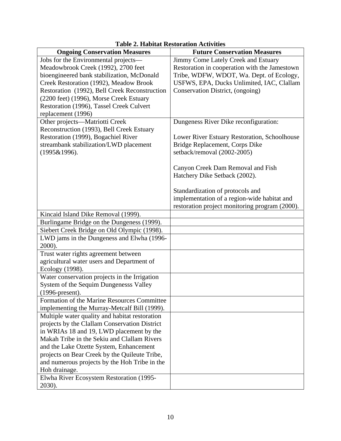| <b>Ongoing Conservation Measures</b>                                                      | <b>Future Conservation Measures</b>            |
|-------------------------------------------------------------------------------------------|------------------------------------------------|
| Jobs for the Environmental projects-                                                      | Jimmy Come Lately Creek and Estuary            |
| Meadowbrook Creek (1992), 2700 feet                                                       | Restoration in cooperation with the Jamestown  |
| bioengineered bank stabilization, McDonald                                                | Tribe, WDFW, WDOT, Wa. Dept. of Ecology,       |
| Creek Restoration (1992), Meadow Brook                                                    | USFWS, EPA, Ducks Unlimited, IAC, Clallam      |
| Restoration (1992), Bell Creek Reconstruction                                             | Conservation District, (ongoing)               |
| (2200 feet) (1996), Morse Creek Estuary                                                   |                                                |
| Restoration (1996), Tassel Creek Culvert                                                  |                                                |
| replacement (1996)                                                                        |                                                |
| Other projects—Matriotti Creek                                                            | Dungeness River Dike reconfiguration:          |
| Reconstruction (1993), Bell Creek Estuary                                                 |                                                |
| Restoration (1999), Bogachiel River                                                       | Lower River Estuary Restoration, Schoolhouse   |
| streambank stabilization/LWD placement                                                    | Bridge Replacement, Corps Dike                 |
| (1995&1996).                                                                              | setback/removal (2002-2005)                    |
|                                                                                           |                                                |
|                                                                                           | Canyon Creek Dam Removal and Fish              |
|                                                                                           | Hatchery Dike Setback (2002).                  |
|                                                                                           |                                                |
|                                                                                           | Standardization of protocols and               |
|                                                                                           | implementation of a region-wide habitat and    |
|                                                                                           | restoration project monitoring program (2000). |
| Kincaid Island Dike Removal (1999).                                                       |                                                |
| Burlingame Bridge on the Dungeness (1999).<br>Siebert Creek Bridge on Old Olympic (1998). |                                                |
|                                                                                           |                                                |
| LWD jams in the Dungeness and Elwha (1996-<br>2000).                                      |                                                |
| Trust water rights agreement between                                                      |                                                |
| agricultural water users and Department of                                                |                                                |
| Ecology (1998).                                                                           |                                                |
| Water conservation projects in the Irrigation                                             |                                                |
| System of the Sequim Dungenesss Valley                                                    |                                                |
| $(1996$ -present).                                                                        |                                                |
| Formation of the Marine Resources Committee                                               |                                                |
| implementing the Murray-Metcalf Bill (1999).                                              |                                                |
| Multiple water quality and habitat restoration                                            |                                                |
| projects by the Clallam Conservation District                                             |                                                |
| in WRIAs 18 and 19, LWD placement by the                                                  |                                                |
| Makah Tribe in the Sekiu and Clallam Rivers                                               |                                                |
| and the Lake Ozette System, Enhancement                                                   |                                                |
| projects on Bear Creek by the Quileute Tribe,                                             |                                                |
| and numerous projects by the Hoh Tribe in the                                             |                                                |
| Hoh drainage.                                                                             |                                                |
| Elwha River Ecosystem Restoration (1995-                                                  |                                                |
| 2030).                                                                                    |                                                |

## **Table 2. Habitat Restoration Activities**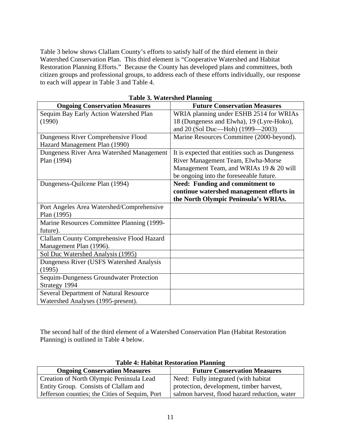Table 3 below shows Clallam County's efforts to satisfy half of the third element in their Watershed Conservation Plan. This third element is "Cooperative Watershed and Habitat Restoration Planning Efforts." Because the County has developed plans and committees, both citizen groups and professional groups, to address each of these efforts individually, our response to each will appear in Table 3 and Table 4.

| <b>Ongoing Conservation Measures</b>             | <b>Future Conservation Measures</b>            |
|--------------------------------------------------|------------------------------------------------|
| Sequim Bay Early Action Watershed Plan           | WRIA planning under ESHB 2514 for WRIAs        |
| (1990)                                           | 18 (Dungeness and Elwha), 19 (Lyre-Hoko),      |
|                                                  | and 20 (Sol Duc-Hoh) (1999-2003)               |
| Dungeness River Comprehensive Flood              | Marine Resources Committee (2000-beyond).      |
| Hazard Management Plan (1990)                    |                                                |
| Dungeness River Area Watershed Management        | It is expected that entities such as Dungeness |
| Plan (1994)                                      | River Management Team, Elwha-Morse             |
|                                                  | Management Team, and WRIAs 19 & 20 will        |
|                                                  | be ongoing into the foreseeable future.        |
| Dungeness-Quilcene Plan (1994)                   | <b>Need: Funding and commitment to</b>         |
|                                                  | continue watershed management efforts in       |
|                                                  | the North Olympic Peninsula's WRIAs.           |
| Port Angeles Area Watershed/Comprehensive        |                                                |
| Plan (1995)                                      |                                                |
| Marine Resources Committee Planning (1999-       |                                                |
| future).                                         |                                                |
| <b>Clallam County Comprehensive Flood Hazard</b> |                                                |
| Management Plan (1996).                          |                                                |
| Sol Duc Watershed Analysis (1995)                |                                                |
| Dungeness River (USFS Watershed Analysis         |                                                |
| (1995)                                           |                                                |
| Sequim-Dungeness Groundwater Protection          |                                                |
| Strategy 1994                                    |                                                |
| <b>Several Department of Natural Resource</b>    |                                                |
| Watershed Analyses (1995-present).               |                                                |

**Table 3. Watershed Planning** 

The second half of the third element of a Watershed Conservation Plan (Habitat Restoration Planning) is outlined in Table 4 below.

| Table 4: Habitat Restoration Flamming          |                                               |
|------------------------------------------------|-----------------------------------------------|
| <b>Ongoing Conservation Measures</b>           | <b>Future Conservation Measures</b>           |
| Creation of North Olympic Peninsula Lead       | Need: Fully integrated (with habitat          |
| Entity Group. Consists of Clallam and          | protection, development, timber harvest,      |
| Jefferson counties; the Cities of Sequim, Port | salmon harvest, flood hazard reduction, water |

## **Table 4: Habitat Restoration Planning**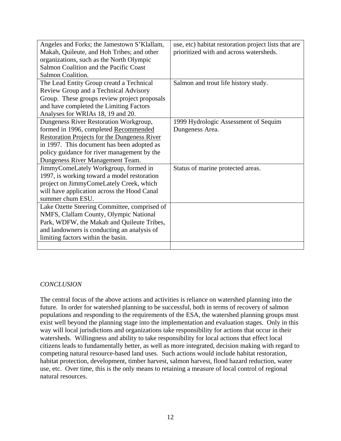| Angeles and Forks; the Jamestown S'Klallam,         | use, etc) habitat restoration project lists that are |
|-----------------------------------------------------|------------------------------------------------------|
| Makah, Quileute, and Hoh Tribes; and other          | prioritized with and across watersheds.              |
| organizations, such as the North Olympic            |                                                      |
| Salmon Coalition and the Pacific Coast              |                                                      |
| Salmon Coalition.                                   |                                                      |
| The Lead Entity Group creatd a Technical            | Salmon and trout life history study.                 |
| Review Group and a Technical Advisory               |                                                      |
| Group. These groups review project proposals        |                                                      |
| and have completed the Limiting Factors             |                                                      |
| Analyses for WRIAs 18, 19 and 20.                   |                                                      |
| Dungeness River Restoration Workgroup,              | 1999 Hydrologic Assessment of Sequim                 |
| formed in 1996, completed Recommended               | Dungeness Area.                                      |
| <b>Restoration Projects for the Dungeness River</b> |                                                      |
| in 1997. This document has been adopted as          |                                                      |
| policy guidance for river management by the         |                                                      |
| Dungeness River Management Team.                    |                                                      |
| JimmyComeLately Workgroup, formed in                | Status of marine protected areas.                    |
| 1997, is working toward a model restoration         |                                                      |
| project on JimmyComeLately Creek, which             |                                                      |
| will have application across the Hood Canal         |                                                      |
| summer chum ESU.                                    |                                                      |
| Lake Ozette Steering Committee, comprised of        |                                                      |
| NMFS, Clallam County, Olympic National              |                                                      |
| Park, WDFW, the Makah and Quileute Tribes,          |                                                      |
| and landowners is conducting an analysis of         |                                                      |
| limiting factors within the basin.                  |                                                      |
|                                                     |                                                      |

## *CONCLUSION*

The central focus of the above actions and activities is reliance on watershed planning into the future. In order for watershed planning to be successful, both in terms of recovery of salmon populations and responding to the requirements of the ESA, the watershed planning groups must exist well beyond the planning stage into the implementation and evaluation stages. Only in this way will local jurisdictions and organizations take responsibility for actions that occur in their watersheds. Willingness and ability to take responsibility for local actions that effect local citizens leads to fundamentally better, as well as more integrated, decision making with regard to competing natural resource-based land uses. Such actions would include habitat restoration, habitat protection, development, timber harvest, salmon harvest, flood hazard reduction, water use, etc. Over time, this is the only means to retaining a measure of local control of regional natural resources.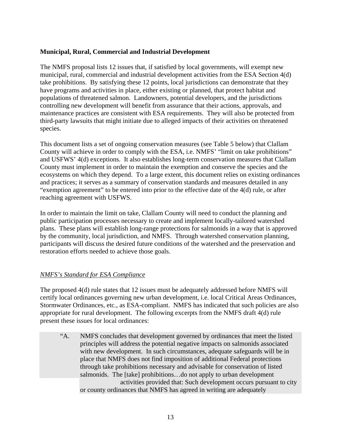#### **Municipal, Rural, Commercial and Industrial Development**

The NMFS proposal lists 12 issues that, if satisfied by local governments, will exempt new municipal, rural, commercial and industrial development activities from the ESA Section 4(d) take prohibitions. By satisfying these 12 points, local jurisdictions can demonstrate that they have programs and activities in place, either existing or planned, that protect habitat and populations of threatened salmon. Landowners, potential developers, and the jurisdictions controlling new development will benefit from assurance that their actions, approvals, and maintenance practices are consistent with ESA requirements. They will also be protected from third-party lawsuits that might initiate due to alleged impacts of their activities on threatened species.

This document lists a set of ongoing conservation measures (see Table 5 below) that Clallam County will achieve in order to comply with the ESA, i.e. NMFS' "limit on take prohibitions" and USFWS' 4(d) exceptions. It also establishes long-term conservation measures that Clallam County must implement in order to maintain the exemption and conserve the species and the ecosystems on which they depend. To a large extent, this document relies on existing ordinances and practices; it serves as a summary of conservation standards and measures detailed in any "exemption agreement" to be entered into prior to the effective date of the 4(d) rule, or after reaching agreement with USFWS.

In order to maintain the limit on take, Clallam County will need to conduct the planning and public participation processes necessary to create and implement locally-tailored watershed plans. These plans will establish long-range protections for salmonids in a way that is approved by the community, local jurisdiction, and NMFS. Through watershed conservation planning, participants will discuss the desired future conditions of the watershed and the preservation and restoration efforts needed to achieve those goals.

## *NMFS's Standard for ESA Compliance*

The proposed 4(d) rule states that 12 issues must be adequately addressed before NMFS will certify local ordinances governing new urban development, i.e. local Critical Areas Ordinances, Stormwater Ordinances, etc., as ESA-compliant. NMFS has indicated that such policies are also appropriate for rural development. The following excerpts from the NMFS draft 4(d) rule present these issues for local ordinances:

 "A. NMFS concludes that development governed by ordinances that meet the listed principles will address the potential negative impacts on salmonids associated with new development. In such circumstances, adequate safeguards will be in place that NMFS does not find imposition of additional Federal protections through take prohibitions necessary and advisable for conservation of listed salmonids. The [take] prohibitions…do not apply to urban development activities provided that: Such development occurs pursuant to city or county ordinances that NMFS has agreed in writing are adequately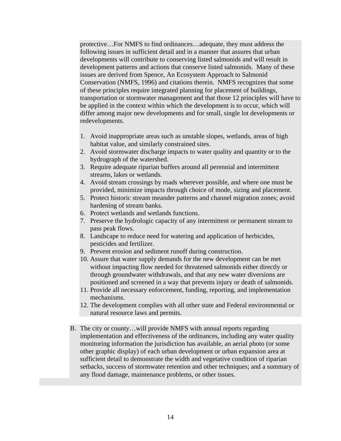protective…For NMFS to find ordinances…adequate, they must address the following issues in sufficient detail and in a manner that assures that urban developments will contribute to conserving listed salmonids and will result in development patterns and actions that conserve listed salmonids. Many of these issues are derived from Spence, An Ecosystem Approach to Salmonid Conservation (NMFS, 1996) and citations therein. NMFS recognizes that some of these principles require integrated planning for placement of buildings, transportation or stormwater management and that those 12 principles will have to be applied in the context within which the development is to occur, which will differ among major new developments and for small, single lot developments or redevelopments.

- 1. Avoid inappropriate areas such as unstable slopes, wetlands, areas of high habitat value, and similarly constrained sites.
- 2. Avoid stormwater discharge impacts to water quality and quantity or to the hydrograph of the watershed.
- 3. Require adequate riparian buffers around all perennial and intermittent streams, lakes or wetlands.
- 4. Avoid stream crossings by roads wherever possible, and where one must be provided, minimize impacts through choice of mode, sizing and placement.
- 5. Protect historic stream meander patterns and channel migration zones; avoid hardening of stream banks.
- 6. Protect wetlands and wetlands functions.
- 7. Preserve the hydrologic capacity of any intermittent or permanent stream to pass peak flows.
- 8. Landscape to reduce need for watering and application of herbicides, pesticides and fertilizer.
- 9. Prevent erosion and sediment runoff during construction.
- 10. Assure that water supply demands for the new development can be met without impacting flow needed for threatened salmonids either directly or through groundwater withdrawals, and that any new water diversions are positioned and screened in a way that prevents injury or death of salmonids.
- 11. Provide all necessary enforcement, funding, reporting, and implementation mechanisms.
- 12. The development complies with all other state and Federal environmental or natural resource laws and permits.
- B. The city or county…will provide NMFS with annual reports regarding implementation and effectiveness of the ordinances, including any water quality monitoring information the jurisdiction has available, an aerial photo (or some other graphic display) of each urban development or urban expansion area at sufficient detail to demonstrate the width and vegetative condition of riparian setbacks, success of stormwater retention and other techniques; and a summary of any flood damage, maintenance problems, or other issues.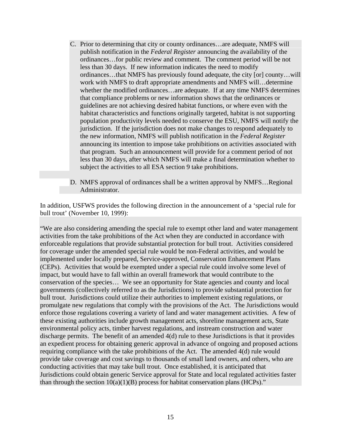- C. Prior to determining that city or county ordinances…are adequate, NMFS will publish notification in the *Federal Register* announcing the availability of the ordinances…for public review and comment. The comment period will be not less than 30 days. If new information indicates the need to modify ordinances…that NMFS has previously found adequate, the city [or] county…will work with NMFS to draft appropriate amendments and NMFS will…determine whether the modified ordinances…are adequate. If at any time NMFS determines that compliance problems or new information shows that the ordinances or guidelines are not achieving desired habitat functions, or where even with the habitat characteristics and functions originally targeted, habitat is not supporting population productivity levels needed to conserve the ESU, NMFS will notify the jurisdiction. If the jurisdiction does not make changes to respond adequately to the new information, NMFS will publish notification in the *Federal Register* announcing its intention to impose take prohibitions on activities associated with that program. Such an announcement will provide for a comment period of not less than 30 days, after which NMFS will make a final determination whether to subject the activities to all ESA section 9 take prohibitions.
- D. NMFS approval of ordinances shall be a written approval by NMFS…Regional Administrator.

In addition, USFWS provides the following direction in the announcement of a 'special rule for bull trout' (November 10, 1999):

"We are also considering amending the special rule to exempt other land and water management activities from the take prohibitions of the Act when they are conducted in accordance with enforceable regulations that provide substantial protection for bull trout. Activities considered for coverage under the amended special rule would be non-Federal activities, and would be implemented under locally prepared, Service-approved, Conservation Enhancement Plans (CEPs). Activities that would be exempted under a special rule could involve some level of impact, but would have to fall within an overall framework that would contribute to the conservation of the species… We see an opportunity for State agencies and county and local governments (collectively referred to as the Jurisdictions) to provide substantial protection for bull trout. Jurisdictions could utilize their authorities to implement existing regulations, or promulgate new regulations that comply with the provisions of the Act. The Jurisdictions would enforce those regulations covering a variety of land and water management activities. A few of these existing authorities include growth management acts, shoreline management acts, State environmental policy acts, timber harvest regulations, and instream construction and water discharge permits. The benefit of an amended 4(d) rule to these Jurisdictions is that it provides an expedient process for obtaining generic approval in advance of ongoing and proposed actions requiring compliance with the take prohibitions of the Act. The amended 4(d) rule would provide take coverage and cost savings to thousands of small land owners, and others, who are conducting activities that may take bull trout. Once established, it is anticipated that Jurisdictions could obtain generic Service approval for State and local regulated activities faster than through the section  $10(a)(1)(B)$  process for habitat conservation plans (HCPs)."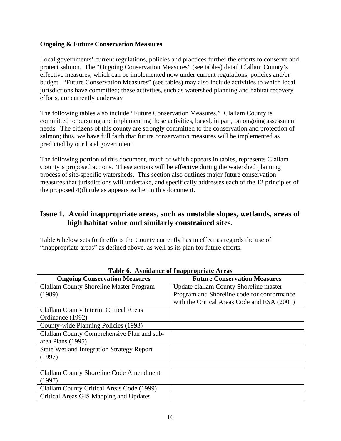#### **Ongoing & Future Conservation Measures**

Local governments' current regulations, policies and practices further the efforts to conserve and protect salmon. The "Ongoing Conservation Measures" (see tables) detail Clallam County's effective measures, which can be implemented now under current regulations, policies and/or budget. "Future Conservation Measures" (see tables) may also include activities to which local jurisdictions have committed; these activities, such as watershed planning and habitat recovery efforts, are currently underway

The following tables also include "Future Conservation Measures." Clallam County is committed to pursuing and implementing these activities, based, in part, on ongoing assessment needs. The citizens of this county are strongly committed to the conservation and protection of salmon; thus, we have full faith that future conservation measures will be implemented as predicted by our local government.

The following portion of this document, much of which appears in tables, represents Clallam County's proposed actions. These actions will be effective during the watershed planning process of site-specific watersheds. This section also outlines major future conservation measures that jurisdictions will undertake, and specifically addresses each of the 12 principles of the proposed 4(d) rule as appears earlier in this document.

## **Issue 1. Avoid inappropriate areas, such as unstable slopes, wetlands, areas of high habitat value and similarly constrained sites.**

Table 6 below sets forth efforts the County currently has in effect as regards the use of "inappropriate areas" as defined above, as well as its plan for future efforts.

| rabic v. Trondance or mappropriate Tricas        |                                             |  |
|--------------------------------------------------|---------------------------------------------|--|
| <b>Ongoing Conservation Measures</b>             | <b>Future Conservation Measures</b>         |  |
| <b>Clallam County Shoreline Master Program</b>   | Update clallam County Shoreline master      |  |
| (1989)                                           | Program and Shoreline code for conformance  |  |
|                                                  | with the Critical Areas Code and ESA (2001) |  |
| <b>Clallam County Interim Critical Areas</b>     |                                             |  |
| Ordinance (1992)                                 |                                             |  |
| County-wide Planning Policies (1993)             |                                             |  |
| Clallam County Comprehensive Plan and sub-       |                                             |  |
| area Plans (1995)                                |                                             |  |
| <b>State Wetland Integration Strategy Report</b> |                                             |  |
| (1997)                                           |                                             |  |
|                                                  |                                             |  |
| Clallam County Shoreline Code Amendment          |                                             |  |
| (1997)                                           |                                             |  |
| Clallam County Critical Areas Code (1999)        |                                             |  |
| Critical Areas GIS Mapping and Updates           |                                             |  |

**Table 6. Avoidance of Inappropriate Areas**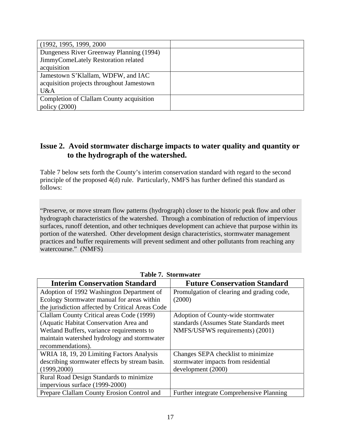| (1992, 1995, 1999, 2000)                  |  |
|-------------------------------------------|--|
| Dungeness River Greenway Planning (1994)  |  |
| JimmyComeLately Restoration related       |  |
| acquisition                               |  |
| Jamestown S'Klallam, WDFW, and IAC        |  |
| acquisition projects throughout Jamestown |  |
| U&A                                       |  |
| Completion of Clallam County acquisition  |  |
| policy $(2000)$                           |  |

## **Issue 2. Avoid stormwater discharge impacts to water quality and quantity or to the hydrograph of the watershed.**

Table 7 below sets forth the County's interim conservation standard with regard to the second principle of the proposed 4(d) rule. Particularly, NMFS has further defined this standard as follows:

"Preserve, or move stream flow patterns (hydrograph) closer to the historic peak flow and other hydrograph characteristics of the watershed. Through a combination of reduction of impervious surfaces, runoff detention, and other techniques development can achieve that purpose within its portion of the watershed. Other development design characteristics, stormwater management practices and buffer requirements will prevent sediment and other pollutants from reaching any watercourse." (NMFS)

| <b>Interim Conservation Standard</b>             | <b>Future Conservation Standard</b>             |  |
|--------------------------------------------------|-------------------------------------------------|--|
| Adoption of 1992 Washington Department of        | Promulgation of clearing and grading code,      |  |
| Ecology Stormwater manual for areas within       | (2000)                                          |  |
| the jurisdiction affected by Critical Areas Code |                                                 |  |
| Clallam County Critical areas Code (1999)        | Adoption of County-wide stormwater              |  |
| (Aquatic Habitat Conservation Area and           | standards (Assumes State Standards meet         |  |
| Wetland Buffers, variance requirements to        | NMFS/USFWS requirements) (2001)                 |  |
| maintain watershed hydrology and stormwater      |                                                 |  |
| recommendations).                                |                                                 |  |
| WRIA 18, 19, 20 Limiting Factors Analysis        | Changes SEPA checklist to minimize              |  |
| describing stormwater effects by stream basin.   | stormwater impacts from residential             |  |
| (1999, 2000)                                     | development (2000)                              |  |
| Rural Road Design Standards to minimize          |                                                 |  |
| impervious surface (1999-2000)                   |                                                 |  |
| Prepare Clallam County Erosion Control and       | <b>Further integrate Comprehensive Planning</b> |  |

**Table 7. Stormwater**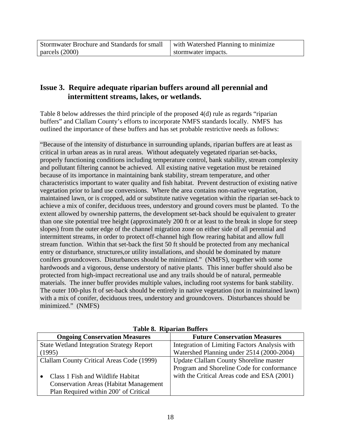## **Issue 3. Require adequate riparian buffers around all perennial and intermittent streams, lakes, or wetlands.**

Table 8 below addresses the third principle of the proposed 4(d) rule as regards "riparian buffers" and Clallam County's efforts to incorporate NMFS standards locally. NMFS has outlined the importance of these buffers and has set probable restrictive needs as follows:

"Because of the intensity of disturbance in surrounding uplands, riparian buffers are at least as critical in urban areas as in rural areas. Without adequately vegetated riparian set-backs, properly functioning conditions including temperature control, bank stability, stream complexity and pollutant filtering cannot be achieved. All existing native vegetation must be retained because of its importance in maintaining bank stability, stream temperature, and other characteristics important to water quality and fish habitat. Prevent destruction of existing native vegetation prior to land use conversions. Where the area contains non-native vegetation, maintained lawn, or is cropped, add or substitute native vegetation within the riparian set-back to achieve a mix of conifer, deciduous trees, understory and ground covers must be planted. To the extent allowed by ownership patterns, the development set-back should be equivalent to greater than one site potential tree height (approximately 200 ft or at least to the break in slope for steep slopes) from the outer edge of the channel migration zone on either side of all perennial and intermittent streams, in order to protect off-channel high flow rearing habitat and allow full stream function. Within that set-back the first 50 ft should be protected from any mechanical entry or disturbance, structures,or utility installations, and should be dominated by mature conifers groundcovers. Disturbances should be minimized." (NMFS), together with some hardwoods and a vigorous, dense understory of native plants. This inner buffer should also be protected from high-impact recreational use and any trails should be of natural, permeable materials. The inner buffer provides multiple values, including root systems for bank stability. The outer 100-plus ft of set-back should be entirely in native vegetation (not in maintained lawn) with a mix of conifer, deciduous trees, understory and groundcovers. Disturbances should be minimized." (NMFS)

| <b>Ongoing Conservation Measures</b>             | <b>Future Conservation Measures</b>           |
|--------------------------------------------------|-----------------------------------------------|
| <b>State Wetland Integration Strategy Report</b> | Integration of Limiting Factors Analysis with |
| (1995)                                           | Watershed Planning under 2514 (2000-2004)     |
| Clallam County Critical Areas Code (1999)        | <b>Update Clallam County Shoreline master</b> |
|                                                  | Program and Shoreline Code for conformance    |
| Class 1 Fish and Wildlife Habitat                | with the Critical Areas code and ESA (2001)   |
| <b>Conservation Areas (Habitat Management)</b>   |                                               |
| Plan Required within 200' of Critical            |                                               |

**Table 8. Riparian Buffers**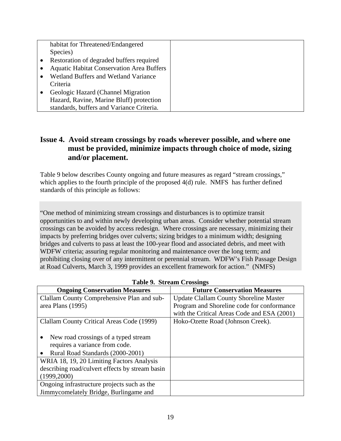| habitat for Threatened/Endangered                |  |
|--------------------------------------------------|--|
| Species)                                         |  |
| Restoration of degraded buffers required         |  |
| <b>Aquatic Habitat Conservation Area Buffers</b> |  |
| Wetland Buffers and Wetland Variance             |  |
| Criteria                                         |  |
| Geologic Hazard (Channel Migration               |  |
| Hazard, Ravine, Marine Bluff) protection         |  |
| standards, buffers and Variance Criteria.        |  |

## **Issue 4. Avoid stream crossings by roads wherever possible, and where one must be provided, minimize impacts through choice of mode, sizing and/or placement.**

Table 9 below describes County ongoing and future measures as regard "stream crossings," which applies to the fourth principle of the proposed 4(d) rule. NMFS has further defined standards of this principle as follows:

"One method of minimizing stream crossings and disturbances is to optimize transit opportunities to and within newly developing urban areas. Consider whether potential stream crossings can be avoided by access redesign. Where crossings are necessary, minimizing their impacts by preferring bridges over culverts; sizing bridges to a minimum width; designing bridges and culverts to pass at least the 100-year flood and associated debris, and meet with WDFW criteria; assuring regular monitoring and maintenance over the long term; and prohibiting closing over of any intermittent or perennial stream. WDFW's Fish Passage Design at Road Culverts, March 3, 1999 provides an excellent framework for action." (NMFS)

| $10000 \times 100000000$                        |                                               |
|-------------------------------------------------|-----------------------------------------------|
| <b>Ongoing Conservation Measures</b>            | <b>Future Conservation Measures</b>           |
| Clallam County Comprehensive Plan and sub-      | <b>Update Clallam County Shoreline Master</b> |
| area Plans (1995)                               | Program and Shoreline code for conformance    |
|                                                 | with the Critical Areas Code and ESA (2001)   |
| Clallam County Critical Areas Code (1999)       | Hoko-Ozette Road (Johnson Creek).             |
|                                                 |                                               |
| New road crossings of a typed stream            |                                               |
| requires a variance from code.                  |                                               |
| Rural Road Standards (2000-2001)                |                                               |
| WRIA 18, 19, 20 Limiting Factors Analysis       |                                               |
| describing road/culvert effects by stream basin |                                               |
| (1999, 2000)                                    |                                               |
| Ongoing infrastructure projects such as the     |                                               |
| Jimmycomelately Bridge, Burlingame and          |                                               |

**Table 9. Stream Crossings**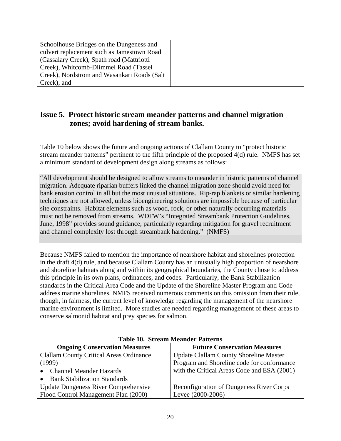| Schoolhouse Bridges on the Dungeness and    |  |
|---------------------------------------------|--|
| culvert replacement such as Jamestown Road  |  |
| (Cassalary Creek), Spath road (Mattriotti)  |  |
| Creek), Whitcomb-Diimmel Road (Tassel       |  |
| Creek), Nordstrom and Wasankari Roads (Salt |  |
| Creek), and                                 |  |

## **Issue 5. Protect historic stream meander patterns and channel migration zones; avoid hardening of stream banks.**

Table 10 below shows the future and ongoing actions of Clallam County to "protect historic stream meander patterns" pertinent to the fifth principle of the proposed 4(d) rule. NMFS has set a minimum standard of development design along streams as follows:

"All development should be designed to allow streams to meander in historic patterns of channel migration. Adequate riparian buffers linked the channel migration zone should avoid need for bank erosion control in all but the most unusual situations. Rip-rap blankets or similar hardening techniques are not allowed, unless bioengineering solutions are impossible because of particular site constraints. Habitat elements such as wood, rock, or other naturally occurring materials must not be removed from streams. WDFW's "Integrated Streambank Protection Guidelines, June, 1998" provides sound guidance, particularly regarding mitigation for gravel recruitment and channel complexity lost through streambank hardening." (NMFS)

Because NMFS failed to mention the importance of nearshore habitat and shorelines protection in the draft 4(d) rule, and because Clallam County has an unusually high proportion of nearshore and shoreline habitats along and within its geographical boundaries, the County chose to address this principle in its own plans, ordinances, and codes. Particularly, the Bank Stabilization standards in the Critical Area Code and the Update of the Shoreline Master Program and Code address marine shorelines. NMFS received numerous comments on this omission from their rule, though, in fairness, the current level of knowledge regarding the management of the nearshore marine environment is limited. More studies are needed regarding management of these areas to conserve salmonid habitat and prey species for salmon.

| <b>Ongoing Conservation Measures</b>           | <b>Future Conservation Measures</b>             |
|------------------------------------------------|-------------------------------------------------|
| <b>Clallam County Critical Areas Ordinance</b> | <b>Update Clallam County Shoreline Master</b>   |
| (1999)                                         | Program and Shoreline code for conformance      |
| <b>Channel Meander Hazards</b>                 | with the Critical Areas Code and ESA (2001)     |
| <b>Bank Stabilization Standards</b>            |                                                 |
| <b>Update Dungeness River Comprehensive</b>    | <b>Reconfiguration of Dungeness River Corps</b> |
| Flood Control Management Plan (2000)           | Levee (2000-2006)                               |

**Table 10. Stream Meander Patterns**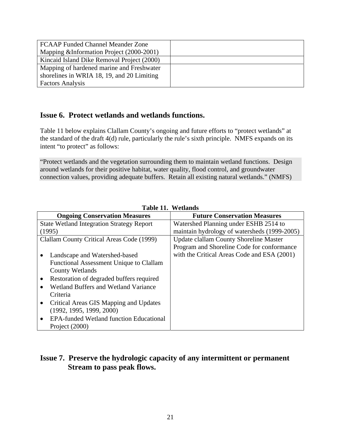| <b>FCAAP Funded Channel Meander Zone</b>   |  |
|--------------------------------------------|--|
| Mapping & Information Project (2000-2001)  |  |
| Kincaid Island Dike Removal Project (2000) |  |
| Mapping of hardened marine and Freshwater  |  |
| shorelines in WRIA 18, 19, and 20 Limiting |  |
| <b>Factors Analysis</b>                    |  |

## **Issue 6. Protect wetlands and wetlands functions.**

Table 11 below explains Clallam County's ongoing and future efforts to "protect wetlands" at the standard of the draft 4(d) rule, particularly the rule's sixth principle. NMFS expands on its intent "to protect" as follows:

"Protect wetlands and the vegetation surrounding them to maintain wetland functions. Design around wetlands for their positive habitat, water quality, flood control, and groundwater connection values, providing adequate buffers. Retain all existing natural wetlands." (NMFS)

| <b>Ongoing Conservation Measures</b>             | <b>Future Conservation Measures</b>          |
|--------------------------------------------------|----------------------------------------------|
| <b>State Wetland Integration Strategy Report</b> | Watershed Planning under ESHB 2514 to        |
| (1995)                                           | maintain hydrology of watersheds (1999-2005) |
| Clallam County Critical Areas Code (1999)        | Update clallam County Shoreline Master       |
|                                                  | Program and Shoreline Code for conformance   |
| Landscape and Watershed-based                    | with the Critical Areas Code and ESA (2001)  |
| Functional Assessment Unique to Clallam          |                                              |
| County Wetlands                                  |                                              |
| Restoration of degraded buffers required         |                                              |
| <b>Wetland Buffers and Wetland Variance</b>      |                                              |
| Criteria                                         |                                              |
| Critical Areas GIS Mapping and Updates           |                                              |
| (1992, 1995, 1999, 2000)                         |                                              |
| <b>EPA-funded Wetland function Educational</b>   |                                              |
| Project (2000)                                   |                                              |

**Table 11. Wetlands** 

## **Issue 7. Preserve the hydrologic capacity of any intermittent or permanent Stream to pass peak flows.**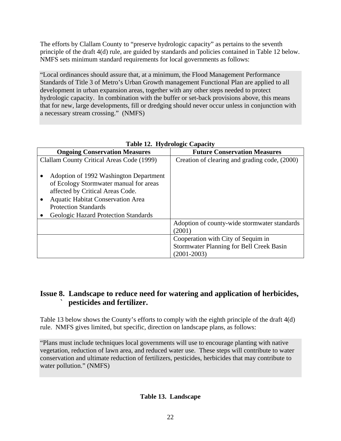The efforts by Clallam County to "preserve hydrologic capacity" as pertains to the seventh principle of the draft 4(d) rule, are guided by standards and policies contained in Table 12 below. NMFS sets minimum standard requirements for local governments as follows:

"Local ordinances should assure that, at a minimum, the Flood Management Performance Standards of Title 3 of Metro's Urban Growth management Functional Plan are applied to all development in urban expansion areas, together with any other steps needed to protect hydrologic capacity. In combination with the buffer or set-back provisions above, this means that for new, large developments, fill or dredging should never occur unless in conjunction with a necessary stream crossing." (NMFS)

| <b>Ongoing Conservation Measures</b>                                                                                                                                                            | <b>Future Conservation Measures</b>             |
|-------------------------------------------------------------------------------------------------------------------------------------------------------------------------------------------------|-------------------------------------------------|
| Clallam County Critical Areas Code (1999)                                                                                                                                                       | Creation of clearing and grading code, (2000)   |
| Adoption of 1992 Washington Department<br>of Ecology Stormwater manual for areas<br>affected by Critical Areas Code.<br><b>Aquatic Habitat Conservation Area</b><br><b>Protection Standards</b> |                                                 |
| Geologic Hazard Protection Standards                                                                                                                                                            |                                                 |
|                                                                                                                                                                                                 | Adoption of county-wide stormwater standards    |
|                                                                                                                                                                                                 | (2001)                                          |
|                                                                                                                                                                                                 | Cooperation with City of Sequim in              |
|                                                                                                                                                                                                 | <b>Stormwater Planning for Bell Creek Basin</b> |
|                                                                                                                                                                                                 | $(2001 - 2003)$                                 |

## **Table 12. Hydrologic Capacity**

## **Issue 8. Landscape to reduce need for watering and application of herbicides, ` pesticides and fertilizer.**

Table 13 below shows the County's efforts to comply with the eighth principle of the draft 4(d) rule. NMFS gives limited, but specific, direction on landscape plans, as follows:

"Plans must include techniques local governments will use to encourage planting with native vegetation, reduction of lawn area, and reduced water use. These steps will contribute to water conservation and ultimate reduction of fertilizers, pesticides, herbicides that may contribute to water pollution." (NMFS)

## **Table 13. Landscape**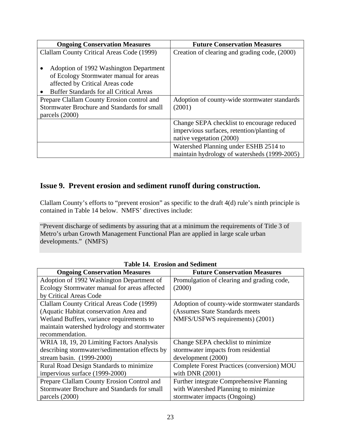| <b>Ongoing Conservation Measures</b>           | <b>Future Conservation Measures</b>           |
|------------------------------------------------|-----------------------------------------------|
| Clallam County Critical Areas Code (1999)      | Creation of clearing and grading code, (2000) |
|                                                |                                               |
| Adoption of 1992 Washington Department         |                                               |
| of Ecology Stormwater manual for areas         |                                               |
| affected by Critical Areas code                |                                               |
| <b>Buffer Standards for all Critical Areas</b> |                                               |
| Prepare Clallam County Erosion control and     | Adoption of county-wide stormwater standards  |
| Stormwater Brochure and Standards for small    | (2001)                                        |
| parcels (2000)                                 |                                               |
|                                                | Change SEPA checklist to encourage reduced    |
|                                                | impervious surfaces, retention/planting of    |
|                                                | native vegetation (2000)                      |
|                                                | Watershed Planning under ESHB 2514 to         |
|                                                | maintain hydrology of watersheds (1999-2005)  |

## **Issue 9. Prevent erosion and sediment runoff during construction.**

Clallam County's efforts to "prevent erosion" as specific to the draft 4(d) rule's ninth principle is contained in Table 14 below. NMFS' directives include:

"Prevent discharge of sediments by assuring that at a minimum the requirements of Title 3 of Metro's urban Growth Management Functional Plan are applied in large scale urban developments." (NMFS)

| <b>Ongoing Conservation Measures</b>           | <b>Future Conservation Measures</b>          |
|------------------------------------------------|----------------------------------------------|
| Adoption of 1992 Washington Department of      | Promulgation of clearing and grading code,   |
| Ecology Stormwater manual for areas affected   | (2000)                                       |
| by Critical Areas Code                         |                                              |
| Clallam County Critical Areas Code (1999)      | Adoption of county-wide stormwater standards |
| (Aquatic Habitat conservation Area and         | (Assumes State Standards meets               |
| Wetland Buffers, variance requirements to      | NMFS/USFWS requirements) (2001)              |
| maintain watershed hydrology and stormwater    |                                              |
| recommendation.                                |                                              |
| WRIA 18, 19, 20 Limiting Factors Analysis      | Change SEPA checklist to minimize            |
| describing stormwater/sedimentation effects by | stormwater impacts from residential          |
| stream basin. (1999-2000)                      | development (2000)                           |
| Rural Road Design Standards to minimize        | Complete Forest Practices (conversion) MOU   |
| impervious surface (1999-2000)                 | with DNR (2001)                              |
| Prepare Clallam County Erosion Control and     | Further integrate Comprehensive Planning     |
| Stormwater Brochure and Standards for small    | with Watershed Planning to minimize          |
| parcels (2000)                                 | stormwater impacts (Ongoing)                 |

**Table 14. Erosion and Sediment**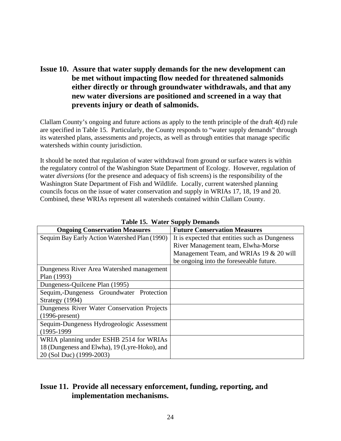**Issue 10. Assure that water supply demands for the new development can be met without impacting flow needed for threatened salmonids either directly or through groundwater withdrawals, and that any new water diversions are positioned and screened in a way that prevents injury or death of salmonids.** 

Clallam County's ongoing and future actions as apply to the tenth principle of the draft 4(d) rule are specified in Table 15. Particularly, the County responds to "water supply demands" through its watershed plans, assessments and projects, as well as through entities that manage specific watersheds within county jurisdiction.

It should be noted that regulation of water withdrawal from ground or surface waters is within the regulatory control of the Washington State Department of Ecology. However, regulation of water *diversions* (for the presence and adequacy of fish screens) is the responsibility of the Washington State Department of Fish and Wildlife. Locally, current watershed planning councils focus on the issue of water conservation and supply in WRIAs 17, 18, 19 and 20. Combined, these WRIAs represent all watersheds contained within Clallam County.

| <b>Ongoing Conservation Measures</b>          | <b>Future Conservation Measures</b>            |
|-----------------------------------------------|------------------------------------------------|
| Sequim Bay Early Action Watershed Plan (1990) | It is expected that entities such as Dungeness |
|                                               | River Management team, Elwha-Morse             |
|                                               | Management Team, and WRIAs 19 & 20 will        |
|                                               | be ongoing into the foreseeable future.        |
| Dungeness River Area Watershed management     |                                                |
| Plan (1993)                                   |                                                |
| Dungeness-Quilcene Plan (1995)                |                                                |
| Sequim,-Dungeness Groundwater Protection      |                                                |
| Strategy (1994)                               |                                                |
| Dungeness River Water Conservation Projects   |                                                |
| $(1996-present)$                              |                                                |
| Sequim-Dungeness Hydrogeologic Assessment     |                                                |
| $(1995-1999)$                                 |                                                |
| WRIA planning under ESHB 2514 for WRIAs       |                                                |
| 18 (Dungeness and Elwha), 19 (Lyre-Hoko), and |                                                |
| 20 (Sol Duc) (1999-2003)                      |                                                |

**Table 15. Water Supply Demands** 

## **Issue 11. Provide all necessary enforcement, funding, reporting, and implementation mechanisms.**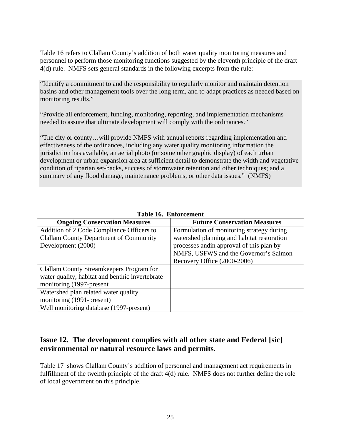Table 16 refers to Clallam County's addition of both water quality monitoring measures and personnel to perform those monitoring functions suggested by the eleventh principle of the draft 4(d) rule. NMFS sets general standards in the following excerpts from the rule:

"Identify a commitment to and the responsibility to regularly monitor and maintain detention basins and other management tools over the long term, and to adapt practices as needed based on monitoring results."

"Provide all enforcement, funding, monitoring, reporting, and implementation mechanisms needed to assure that ultimate development will comply with the ordinances."

"The city or county…will provide NMFS with annual reports regarding implementation and effectiveness of the ordinances, including any water quality monitoring information the jurisdiction has available, an aerial photo (or some other graphic display) of each urban development or urban expansion area at sufficient detail to demonstrate the width and vegetative condition of riparian set-backs, success of stormwater retention and other techniques; and a summary of any flood damage, maintenance problems, or other data issues." (NMFS)

| <b>Ongoing Conservation Measures</b>            | <b>Future Conservation Measures</b>        |
|-------------------------------------------------|--------------------------------------------|
| Addition of 2 Code Compliance Officers to       | Formulation of monitoring strategy during  |
| <b>Clallam County Department of Community</b>   | watershed planning and habitat restoration |
| Development (2000)                              | processes and in approval of this plan by  |
|                                                 | NMFS, USFWS and the Governor's Salmon      |
|                                                 | Recovery Office (2000-2006)                |
| Clallam County Streamkeepers Program for        |                                            |
| water quality, habitat and benthic invertebrate |                                            |
| monitoring (1997-present                        |                                            |
| Watershed plan related water quality            |                                            |
| monitoring (1991-present)                       |                                            |
| Well monitoring database (1997-present)         |                                            |

**Table 16. Enforcement** 

## **Issue 12. The development complies with all other state and Federal [sic] environmental or natural resource laws and permits.**

Table 17 shows Clallam County's addition of personnel and management act requirements in fulfillment of the twelfth principle of the draft 4(d) rule. NMFS does not further define the role of local government on this principle.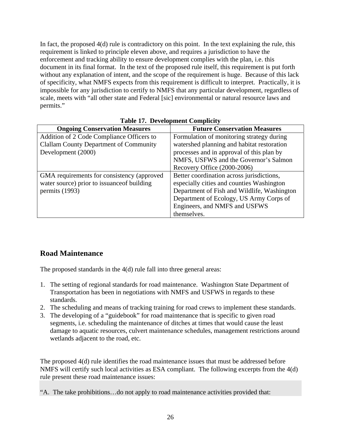In fact, the proposed 4(d) rule is contradictory on this point. In the text explaining the rule, this requirement is linked to principle eleven above, and requires a jurisdiction to have the enforcement and tracking ability to ensure development complies with the plan, i.e. this document in its final format. In the text of the proposed rule itself, this requirement is put forth without any explanation of intent, and the scope of the requirement is huge. Because of this lack of specificity, what NMFS expects from this requirement is difficult to interpret. Practically, it is impossible for any jurisdiction to certify to NMFS that any particular development, regardless of scale, meets with "all other state and Federal [sic] environmental or natural resource laws and permits."

| <b>Ongoing Conservation Measures</b>          | <b>Future Conservation Measures</b>         |
|-----------------------------------------------|---------------------------------------------|
| Addition of 2 Code Compliance Officers to     | Formulation of monitoring strategy during   |
| <b>Clallam County Department of Community</b> | watershed planning and habitat restoration  |
| Development (2000)                            | processes and in approval of this plan by   |
|                                               | NMFS, USFWS and the Governor's Salmon       |
|                                               | Recovery Office (2000-2006)                 |
| GMA requirements for consistency (approved    | Better coordination across jurisdictions,   |
| water source) prior to issuance of building   | especially cities and counties Washington   |
| permits (1993)                                | Department of Fish and Wildlife, Washington |
|                                               | Department of Ecology, US Army Corps of     |
|                                               | Engineers, and NMFS and USFWS               |
|                                               | themselves.                                 |

## **Table 17. Development Complicity**

## **Road Maintenance**

The proposed standards in the 4(d) rule fall into three general areas:

- 1. The setting of regional standards for road maintenance. Washington State Department of Transportation has been in negotiations with NMFS and USFWS in regards to these standards.
- 2. The scheduling and means of tracking training for road crews to implement these standards.
- 3. The developing of a "guidebook" for road maintenance that is specific to given road segments, i.e. scheduling the maintenance of ditches at times that would cause the least damage to aquatic resources, culvert maintenance schedules, management restrictions around wetlands adjacent to the road, etc.

The proposed 4(d) rule identifies the road maintenance issues that must be addressed before NMFS will certify such local activities as ESA compliant. The following excerpts from the 4(d) rule present these road maintenance issues:

"A. The take prohibitions…do not apply to road maintenance activities provided that: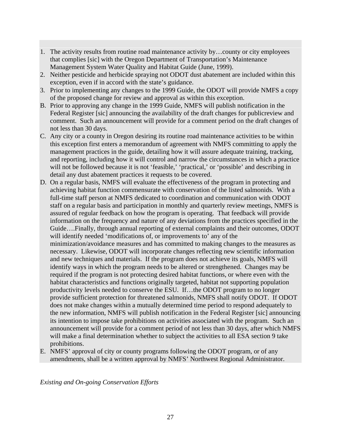- 1. The activity results from routine road maintenance activity by…county or city employees that complies [sic] with the Oregon Department of Transportation's Maintenance Management System Water Quality and Habitat Guide (June, 1999).
- 2. Neither pesticide and herbicide spraying not ODOT dust abatement are included within this exception, even if in accord with the state's guidance.
- 3. Prior to implementing any changes to the 1999 Guide, the ODOT will provide NMFS a copy of the proposed change for review and approval as within this exception.
- B. Prior to approving any change in the 1999 Guide, NMFS will publish notification in the Federal Register [sic] announcing the availability of the draft changes for publicreview and comment. Such an announcement will provide for a comment period on the draft changes of not less than 30 days.
- C. Any city or a county in Oregon desiring its routine road maintenance activities to be within this exception first enters a memorandum of agreement with NMFS committing to apply the management practices in the guide, detailing how it will assure adequate training, tracking, and reporting, including how it will control and narrow the circumstances in which a practice will not be followed because it is not 'feasible,' 'practical,' or 'possible' and describing in detail any dust abatement practices it requests to be covered.
- D. On a regular basis, NMFS will evaluate the effectiveness of the program in protecting and achieving habitat function commensurate with conservation of the listed salmonids. With a full-time staff person at NMFS dedicated to coordination and communication with ODOT staff on a regular basis and participation in monthly and quarterly review meetings, NMFS is assured of regular feedback on how the program is operating. That feedback will provide information on the frequency and nature of any deviations from the practices specified in the Guide….Finally, through annual reporting of external complaints and their outcomes, ODOT will identify needed 'modifications of, or improvements to' any of the minimization/avoidance measures and has committed to making changes to the measures as necessary. Likewise, ODOT will incorporate changes reflecting new scientific information and new techniques and materials. If the program does not achieve its goals, NMFS will identify ways in which the program needs to be altered or strengthened. Changes may be required if the program is not protecting desired habitat functions, or where even with the habitat characteristics and functions originally targeted, habitat not supporting population productivity levels needed to conserve the ESU. If…the ODOT program to no longer provide sufficient protection for threatened salmonids, NMFS shall notify ODOT. If ODOT does not make changes within a mutually determined time period to respond adequately to the new information, NMFS will publish notification in the Federal Register [sic] announcing its intention to impose take prohibitions on activities associated with the program. Such an announcement will provide for a comment period of not less than 30 days, after which NMFS will make a final determination whether to subject the activities to all ESA section 9 take prohibitions.
- E. NMFS' approval of city or county programs following the ODOT program, or of any amendments, shall be a written approval by NMFS' Northwest Regional Administrator.

*Existing and On-going Conservation Efforts*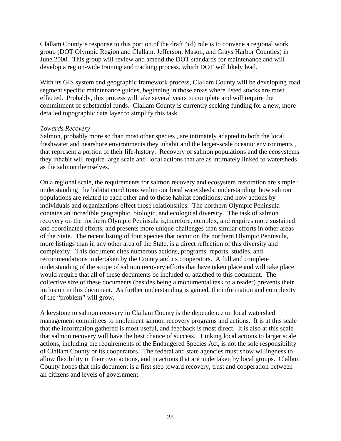Clallam County's response to this portion of the draft 4(d) rule is to convene a regional work group (DOT Olympic Region and Clallam, Jefferson, Mason, and Grays Harbor Counties) in June 2000. This group will review and amend the DOT standards for maintenance and will develop a region-wide training and tracking process, which DOT will likely lead.

With its GIS system and geographic framework process, Clallam County will be developing road segment specific maintenance guides, beginning in those areas where listed stocks are most effected. Probably, this process will take several years to complete and will require the commitment of substantial funds. Clallam County is currently seeking funding for a new, more detailed topographic data layer to simplify this task.

#### *Towards Recovery*

Salmon, probably more so than most other species , are intimately adapted to both the local freshwater and nearshore environments they inhabit and the larger-scale oceanic environments , that represent a portion of their life-history. Recovery of salmon populations and the ecosystems they inhabit will require large scale and local actions that are as intimately linked to watersheds as the salmon themselves.

On a regional scale, the requirements for salmon recovery and ecosystem restoration are simple : understanding the habitat conditions within our local watersheds; understanding how salmon populations are related to each other and to those habitat conditions; and how actions by individuals and organizations effect those relationships. The northern Olympic Peninsula contains an incredible geographic, biologic, and ecological diversity. The task of salmon recovery on the northern Olympic Peninsula is,therefore, complex, and requires more sustained and coordinated efforts, and presents more unique challenges than similar efforts in other areas of the State. The recent listing of four species that occur on the northern Olympic Peninsula, more listings than in any other area of the State, is a direct reflection of this diversity and complexity. This document cites numerous actions, programs, reports, studies, and recommendations undertaken by the County and its cooperators. A full and complete understanding of the scope of salmon recovery efforts that have taken place and will take place would require that all of these documents be included or attached to this document. The collective size of these documents (besides being a monumental task to a reader) prevents their inclusion in this document. As further understanding is gained, the information and complexity of the "problem" will grow.

A keystone to salmon recovery in Clallam County is the dependence on local watershed management committees to implement salmon recovery programs and actions. It is at this scale that the information gathered is most useful, and feedback is most direct. It is also at this scale that salmon recovery will have the best chance of success. Linking local actions to larger scale actions, including the requirements of the Endangered Species Act, is not the sole responsibility of Clallam County or its cooperators. The federal and state agencies must show willingness to allow flexibility in their own actions, and in actions that are undertaken by local groups. Clallam County hopes that this document is a first step toward recovery, trust and cooperation between all citizens and levels of government.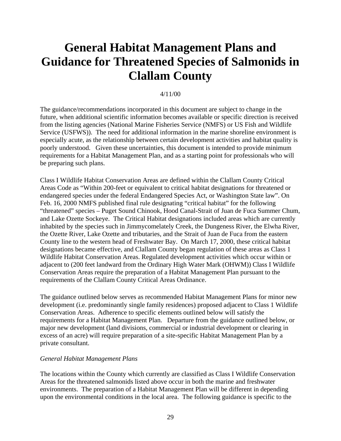# **General Habitat Management Plans and Guidance for Threatened Species of Salmonids in Clallam County**

#### 4/11/00

The guidance/recommendations incorporated in this document are subject to change in the future, when additional scientific information becomes available or specific direction is received from the listing agencies (National Marine Fisheries Service (NMFS) or US Fish and Wildlife Service (USFWS)). The need for additional information in the marine shoreline environment is especially acute, as the relationship between certain development activities and habitat quality is poorly understood. Given these uncertainties, this document is intended to provide minimum requirements for a Habitat Management Plan, and as a starting point for professionals who will be preparing such plans.

Class I Wildlife Habitat Conservation Areas are defined within the Clallam County Critical Areas Code as "Within 200-feet or equivalent to critical habitat designations for threatened or endangered species under the federal Endangered Species Act, or Washington State law". On Feb. 16, 2000 NMFS published final rule designating "critical habitat" for the following "threatened" species – Puget Sound Chinook, Hood Canal-Strait of Juan de Fuca Summer Chum, and Lake Ozette Sockeye. The Critical Habitat designations included areas which are currently inhabited by the species such in Jimmycomelately Creek, the Dungeness River, the Elwha River, the Ozette River, Lake Ozette and tributaries, and the Strait of Juan de Fuca from the eastern County line to the western head of Freshwater Bay. On March 17, 2000, these critical habitat designations became effective, and Clallam County began regulation of these areas as Class 1 Wildlife Habitat Conservation Areas. Regulated development activities which occur within or adjacent to (200 feet landward from the Ordinary High Water Mark (OHWM)) Class I Wildlife Conservation Areas require the preparation of a Habitat Management Plan pursuant to the requirements of the Clallam County Critical Areas Ordinance.

The guidance outlined below serves as recommended Habitat Management Plans for minor new development (i.e. predominantly single family residences) proposed adjacent to Class 1 Wildlife Conservation Areas. Adherence to specific elements outlined below will satisfy the requirements for a Habitat Management Plan. Departure from the guidance outlined below, or major new development (land divisions, commercial or industrial development or clearing in excess of an acre) will require preparation of a site-specific Habitat Management Plan by a private consultant.

#### *General Habitat Management Plans*

The locations within the County which currently are classified as Class I Wildlife Conservation Areas for the threatened salmonids listed above occur in both the marine and freshwater environments. The preparation of a Habitat Management Plan will be different in depending upon the environmental conditions in the local area. The following guidance is specific to the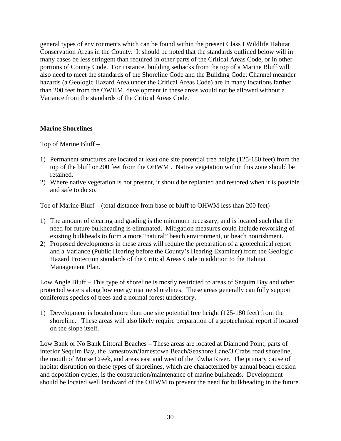general types of environments which can be found within the present Class I Wildlife Habitat Conservation Areas in the County. It should be noted that the standards outlined below will in many cases be less stringent than required in other parts of the Critical Areas Code, or in other portions of County Code. For instance, building setbacks from the top of a Marine Bluff will also need to meet the standards of the Shoreline Code and the Building Code; Channel meander hazards (a Geologic Hazard Area under the Critical Areas Code) are in many locations farther than 200 feet from the OWHM, development in these areas would not be allowed without a Variance from the standards of the Critical Areas Code.

## **Marine Shorelines** –

Top of Marine Bluff –

- 1) Permanent structures are located at least one site potential tree height (125-180 feet) from the top of the bluff or 200 feet from the OHWM . Native vegetation within this zone should be retained.
- 2) Where native vegetation is not present, it should be replanted and restored when it is possible and safe to do so.

Toe of Marine Bluff – (total distance from base of bluff to OHWM less than 200 feet)

- 1) The amount of clearing and grading is the minimum necessary, and is located such that the need for future bulkheading is eliminated. Mitigation measures could include reworking of existing bulkheads to form a more "natural" beach environment, or beach nourishment.
- 2) Proposed developments in these areas will require the preparation of a geotechnical report and a Variance (Public Hearing before the County's Hearing Examiner) from the Geologic Hazard Protection standards of the Critical Areas Code in addition to the Habitat Management Plan.

Low Angle Bluff – This type of shoreline is mostly restricted to areas of Sequim Bay and other protected waters along low energy marine shorelines. These areas generally can fully support coniferous species of trees and a normal forest understory.

1) Development is located more than one site potential tree height (125-180 feet) from the shoreline. These areas will also likely require preparation of a geotechnical report if located on the slope itself.

Low Bank or No Bank Littoral Beaches – These areas are located at Diamond Point, parts of interior Sequim Bay, the Jamestown/Jamestown Beach/Seashore Lane/3 Crabs road shoreline, the mouth of Morse Creek, and areas east and west of the Elwha River. The primary cause of habitat disruption on these types of shorelines, which are characterized by annual beach erosion and deposition cycles, is the construction/maintenance of marine bulkheads. Development should be located well landward of the OHWM to prevent the need for bulkheading in the future.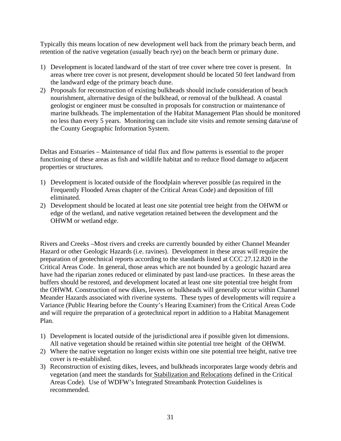Typically this means location of new development well back from the primary beach berm, and retention of the native vegetation (usually beach rye) on the beach berm or primary dune.

- 1) Development is located landward of the start of tree cover where tree cover is present. In areas where tree cover is not present, development should be located 50 feet landward from the landward edge of the primary beach dune.
- 2) Proposals for reconstruction of existing bulkheads should include consideration of beach nourishment, alternative design of the bulkhead, or removal of the bulkhead. A coastal geologist or engineer must be consulted in proposals for construction or maintenance of marine bulkheads. The implementation of the Habitat Management Plan should be monitored no less than every 5 years. Monitoring can include site visits and remote sensing data/use of the County Geographic Information System.

Deltas and Estuaries – Maintenance of tidal flux and flow patterns is essential to the proper functioning of these areas as fish and wildlife habitat and to reduce flood damage to adjacent properties or structures.

- 1) Development is located outside of the floodplain wherever possible (as required in the Frequently Flooded Areas chapter of the Critical Areas Code) and deposition of fill eliminated.
- 2) Development should be located at least one site potential tree height from the OHWM or edge of the wetland, and native vegetation retained between the development and the OHWM or wetland edge.

Rivers and Creeks –Most rivers and creeks are currently bounded by either Channel Meander Hazard or other Geologic Hazards (i.e. ravines). Development in these areas will require the preparation of geotechnical reports according to the standards listed at CCC 27.12.820 in the Critical Areas Code. In general, those areas which are not bounded by a geologic hazard area have had the riparian zones reduced or eliminated by past land-use practices. In these areas the buffers should be restored, and development located at least one site potential tree height from the OHWM. Construction of new dikes, levees or bulkheads will generally occur within Channel Meander Hazards associated with riverine systems. These types of developments will require a Variance (Public Hearing before the County's Hearing Examiner) from the Critical Areas Code and will require the preparation of a geotechnical report in addition to a Habitat Management Plan.

- 1) Development is located outside of the jurisdictional area if possible given lot dimensions. All native vegetation should be retained within site potential tree height of the OHWM.
- 2) Where the native vegetation no longer exists within one site potential tree height, native tree cover is re-established.
- 3) Reconstruction of existing dikes, levees, and bulkheads incorporates large woody debris and vegetation (and meet the standards for Stabilization and Relocations defined in the Critical Areas Code). Use of WDFW's Integrated Streambank Protection Guidelines is recommended.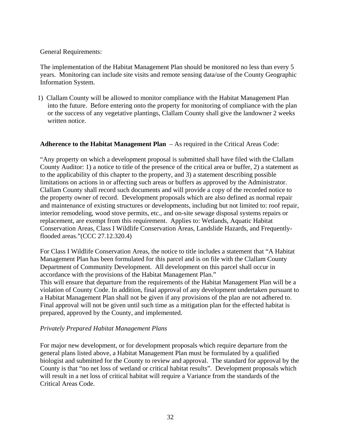#### General Requirements:

The implementation of the Habitat Management Plan should be monitored no less than every 5 years. Monitoring can include site visits and remote sensing data/use of the County Geographic Information System.

1) Clallam County will be allowed to monitor compliance with the Habitat Management Plan into the future. Before entering onto the property for monitoring of compliance with the plan or the success of any vegetative plantings, Clallam County shall give the landowner 2 weeks written notice.

#### **Adherence to the Habitat Management Plan** – As required in the Critical Areas Code:

"Any property on which a development proposal is submitted shall have filed with the Clallam County Auditor: 1) a notice to title of the presence of the critical area or buffer, 2) a statement as to the applicability of this chapter to the property, and 3) a statement describing possible limitations on actions in or affecting such areas or buffers as approved by the Administrator. Clallam County shall record such documents and will provide a copy of the recorded notice to the property owner of record. Development proposals which are also defined as normal repair and maintenance of existing structures or developments, including but not limited to: roof repair, interior remodeling, wood stove permits, etc., and on-site sewage disposal systems repairs or replacement, are exempt from this requirement. Applies to: Wetlands, Aquatic Habitat Conservation Areas, Class I Wildlife Conservation Areas, Landslide Hazards, and Frequentlyflooded areas."(CCC 27.12.320.4)

For Class I Wildlife Conservation Areas, the notice to title includes a statement that "A Habitat Management Plan has been formulated for this parcel and is on file with the Clallam County Department of Community Development. All development on this parcel shall occur in accordance with the provisions of the Habitat Management Plan."

This will ensure that departure from the requirements of the Habitat Management Plan will be a violation of County Code. In addition, final approval of any development undertaken pursuant to a Habitat Management Plan shall not be given if any provisions of the plan are not adhered to. Final approval will not be given until such time as a mitigation plan for the effected habitat is prepared, approved by the County, and implemented.

#### *Privately Prepared Habitat Management Plans*

For major new development, or for development proposals which require departure from the general plans listed above, a Habitat Management Plan must be formulated by a qualified biologist and submitted for the County to review and approval. The standard for approval by the County is that "no net loss of wetland or critical habitat results". Development proposals which will result in a net loss of critical habitat will require a Variance from the standards of the Critical Areas Code.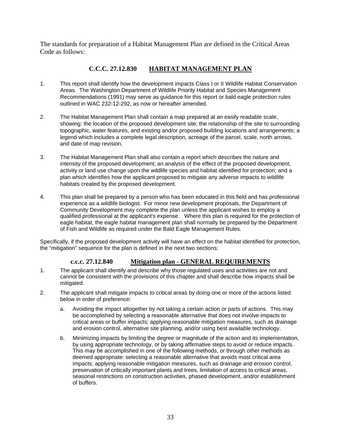The standards for preparation of a Habitat Management Plan are defined in the Critical Areas Code as follows:

## **C.C.C. 27.12.830 HABITAT MANAGEMENT PLAN**

- 1. This report shall identify how the development impacts Class I or II Wildlife Habitat Conservation Areas. The Washington Department of Wildlife Priority Habitat and Species Management Recommendations (1991) may serve as guidance for this report or bald eagle protection rules outlined in WAC 232-12-292, as now or hereafter amended.
- 2. The Habitat Management Plan shall contain a map prepared at an easily readable scale, showing: the location of the proposed development site; the relationship of the site to surrounding topographic, water features, and existing and/or proposed building locations and arrangements; a legend which includes a complete legal description, acreage of the parcel, scale, north arrows, and date of map revision.
- 3. The Habitat Management Plan shall also contain a report which describes the nature and intensity of the proposed development; an analysis of the effect of the proposed development, activity or land use change upon the wildlife species and habitat identified for protection; and a plan which identifies how the applicant proposed to mitigate any adverse impacts to wildlife habitats created by the proposed development.
- 4. This plan shall be prepared by a person who has been educated in this field and has professional experience as a wildlife biologist. For minor new development proposals, the Department of Community Development may complete the plan unless the applicant wishes to employ a qualified professional at the applicant's expense. Where this plan is required for the protection of eagle habitat, the eagle habitat management plan shall normally be prepared by the Department of Fish and Wildlife as required under the Bald Eagle Management Rules.

Specifically, if the proposed development activity will have an effect on the habitat identified for protection, the "mitigation" sequence for the plan is defined in the next two sections:

#### **c.c.c. 27.12.840 Mitigation plan - GENERAL REQUIREMENTS**

- 1. The applicant shall identify and describe why those regulated uses and activities are not and cannot be consistent with the provisions of this chapter and shall describe how impacts shall be mitigated.
- 2. The applicant shall mitigate impacts to critical areas by doing one or more of the actions listed below in order of preference:
	- a. Avoiding the impact altogether by not taking a certain action or parts of actions. This may be accomplished by selecting a reasonable alternative that does not involve impacts to critical areas or buffer impacts; applying reasonable mitigation measures, such as drainage and erosion control, alternative site planning, and/or using best available technology.
	- b. Minimizing impacts by limiting the degree or magnitude of the action and its implementation, by using appropriate technology, or by taking affirmative steps to avoid or reduce impacts. This may be accomplished in one of the following methods, or through other methods as deemed appropriate: selecting a reasonable alternative that avoids most critical area impacts; applying reasonable mitigation measures, such as drainage and erosion control, preservation of critically important plants and trees, limitation of access to critical areas, seasonal restrictions on construction activities, phased development, and/or establishment of buffers.